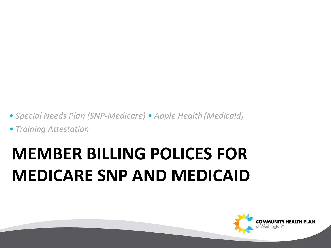- *• Special Needs Plan (SNP-Medicare) Apple Health (Medicaid)*
- *• Training Attestation*

### **MEMBER BILLING POLICES FOR MEDICARE SNP AND MEDICAID**

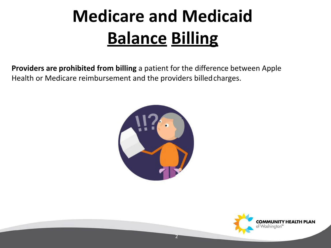### **Medicare and Medicaid Balance Billing**

**Providers are prohibited from billing** a patient for the difference between Apple Health or Medicare reimbursement and the providers billedcharges.



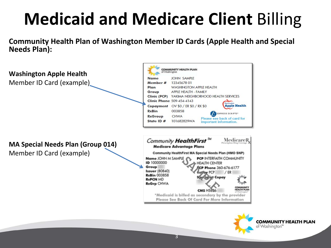### **Medicaid and Medicare Client** Billing

**Community Health Plan of Washington Member ID Cards (Apple Health and Special Needs Plan):**

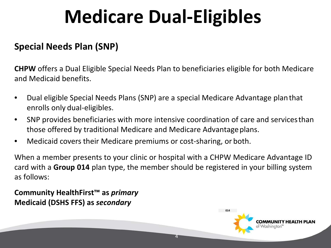### **Medicare Dual-Eligibles**

#### **Special Needs Plan (SNP)**

**CHPW** offers a Dual Eligible Special Needs Plan to beneficiaries eligible for both Medicare and Medicaid benefits.

- Dual eligible Special Needs Plans (SNP) are a special Medicare Advantage planthat enrolls only dual-eligibles.
- SNP provides beneficiaries with more intensive coordination of care and servicesthan those offered by traditional Medicare and Medicare Advantageplans.
- Medicaid covers their Medicare premiums or cost-sharing, or both.

When a member presents to your clinic or hospital with a CHPW Medicare Advantage ID card with a **Group 014** plan type, the member should be registered in your billing system as follows:

4

**Community HealthFirst™ as** *primary* **Medicaid (DSHS FFS) as** *secondary*

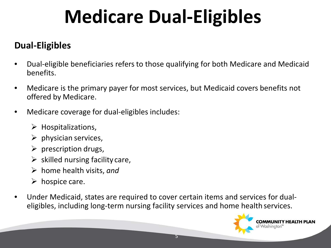## **Medicare Dual-Eligibles**

#### **Dual-Eligibles**

- Dual-eligible beneficiaries refers to those qualifying for both Medicare and Medicaid benefits.
- Medicare is the primary payer for most services, but Medicaid covers benefits not offered by Medicare.
- Medicare coverage for dual-eligibles includes:
	- $\triangleright$  Hospitalizations,
	- $\triangleright$  physician services,
	- $\triangleright$  prescription drugs,
	- $\triangleright$  skilled nursing facility care,
	- home health visits, *and*
	- $\triangleright$  hospice care.
- Under Medicaid, states are required to cover certain items and services for dualeligibles, including long-term nursing facility services and home health services.

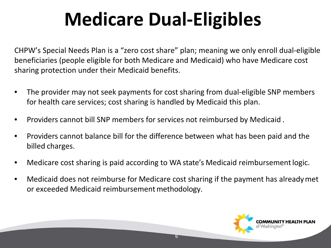# **Medicare Dual-Eligibles**

CHPW's Special Needs Plan is a "zero cost share" plan; meaning we only enroll dual-eligible beneficiaries (people eligible for both Medicare and Medicaid) who have Medicare cost sharing protection under their Medicaid benefits.

- The provider may not seek payments for cost sharing from dual-eligible SNP members for health care services; cost sharing is handled by Medicaid this plan.
- Providers cannot bill SNP members for services not reimbursed by Medicaid .
- Providers cannot balance bill for the difference between what has been paid and the billed charges.
- Medicare cost sharing is paid according to WA state's Medicaid reimbursement logic.
- Medicaid does not reimburse for Medicare cost sharing if the payment has alreadymet or exceeded Medicaid reimbursement methodology.

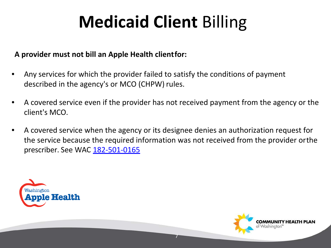#### **A provider must not bill an Apple Health clientfor:**

- Any services for which the provider failed to satisfy the conditions of payment described in the agency's or MCO (CHPW) rules.
- A covered service even if the provider has not received payment from the agency or the client's MCO.
- A covered service when the agency or its designee denies an authorization request for the service because the required information was not received from the provider orthe prescriber. See WAC [182-501-0165](http://apps.leg.wa.gov/WAC/default.aspx?cite=182-501-0165)



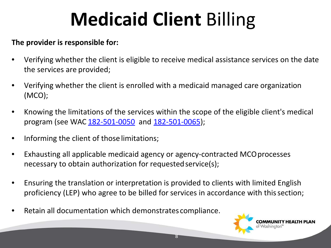#### **The provider is responsible for:**

- Verifying whether the client is eligible to receive medical assistance services on the date the services are provided;
- Verifying whether the client is enrolled with a medicaid managed care organization (MCO);
- Knowing the limitations of the services within the scope of the eligible client's medical program (see WAC [182-501-0050](http://apps.leg.wa.gov/WAC/default.aspx?cite=182-501-0050) an[d 182-501-0065\)](http://apps.leg.wa.gov/WAC/default.aspx?cite=182-501-0065);
- Informing the client of those limitations;
- Exhausting all applicable medicaid agency or agency-contracted MCOprocesses necessary to obtain authorization for requested service(s);
- Ensuring the translation or interpretation is provided to clients with limited English proficiency (LEP) who agree to be billed for services in accordance with this section;
- Retain all documentation which demonstrates compliance.

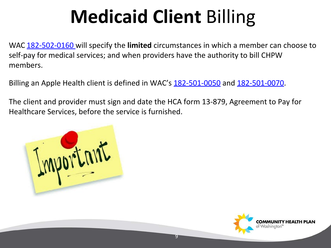WAC 182-502-0160 will specify the **limited** circumstances in which a member can choose to self-pay for medical services; and when providers have the authority to bill CHPW members.

Billing an Apple Health client is defined in WAC's [182-501-0050 a](http://apps.leg.wa.gov/WAC/default.aspx?cite=182-501-0050)nd [182-501-0070.](http://apps.leg.wa.gov/WAC/default.aspx?cite=182-501-0070)

The client and provider must sign and date the HCA form 13-879, Agreement to Pay for Healthcare Services, before the service is furnished.



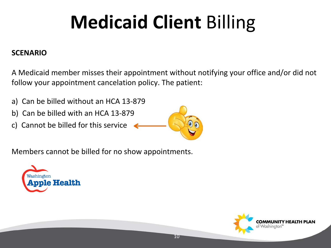#### **SCENARIO**

A Medicaid member misses their appointment without notifying your office and/or did not follow your appointment cancelation policy. The patient:

- a) Can be billed without an HCA 13-879
- b) Can be billed with an HCA 13-879
- c) Cannot be billed for this service



10

Members cannot be billed for no show appointments.



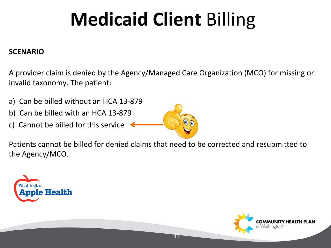#### **SCENARIO**

A provider claim is denied by the Agency/Managed Care Organization (MCO) for missing or invalid taxonomy. The patient:

- a) Can be billed without an HCA 13-879
- b) Can be billed with an HCA 13-879
- c) Cannot be billed for this service



11

Patients cannot be billed for denied claims that need to be corrected and resubmitted to the Agency/MCO.



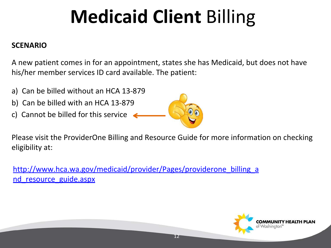#### **SCENARIO**

A new patient comes in for an appointment, states she has Medicaid, but does not have his/her member services ID card available. The patient:

- a) Can be billed without an HCA 13-879
- b) Can be billed with an HCA 13-879
- c) Cannot be billed for this service



12

Please visit the ProviderOne Billing and Resource Guide for more information on checking eligibility at:

[http://www.hca.wa.gov/medicaid/provider/Pages/providerone\\_billing\\_a](http://www.hca.wa.gov/medicaid/provider/Pages/providerone_billing_and_resource_guide.aspx) [nd\\_resource\\_guide.aspx](http://www.hca.wa.gov/medicaid/provider/Pages/providerone_billing_and_resource_guide.aspx)